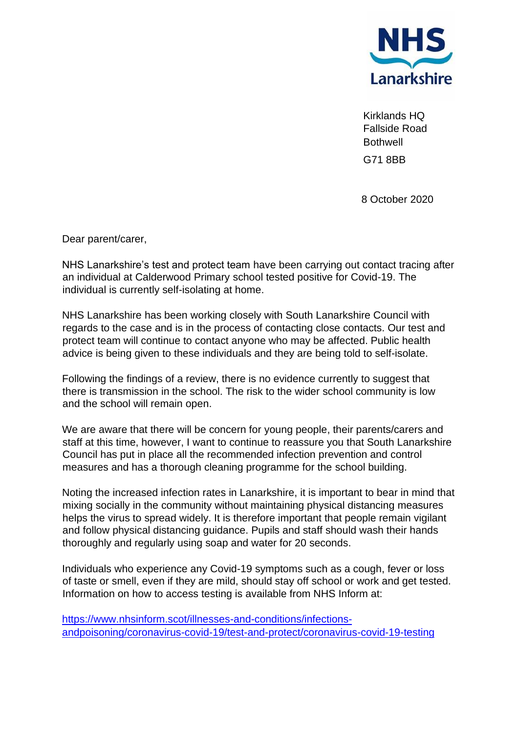

Kirklands HQ Fallside Road **Bothwell** G71 8BB

8 October 2020

Dear parent/carer,

NHS Lanarkshire's test and protect team have been carrying out contact tracing after an individual at Calderwood Primary school tested positive for Covid-19. The individual is currently self-isolating at home.

NHS Lanarkshire has been working closely with South Lanarkshire Council with regards to the case and is in the process of contacting close contacts. Our test and protect team will continue to contact anyone who may be affected. Public health advice is being given to these individuals and they are being told to self-isolate.

Following the findings of a review, there is no evidence currently to suggest that there is transmission in the school. The risk to the wider school community is low and the school will remain open.

We are aware that there will be concern for young people, their parents/carers and staff at this time, however, I want to continue to reassure you that South Lanarkshire Council has put in place all the recommended infection prevention and control measures and has a thorough cleaning programme for the school building.

Noting the increased infection rates in Lanarkshire, it is important to bear in mind that mixing socially in the community without maintaining physical distancing measures helps the virus to spread widely. It is therefore important that people remain vigilant and follow physical distancing guidance. Pupils and staff should wash their hands thoroughly and regularly using soap and water for 20 seconds.

Individuals who experience any Covid-19 symptoms such as a cough, fever or loss of taste or smell, even if they are mild, should stay off school or work and get tested. Information on how to access testing is available from NHS Inform at:

[https://www.nhsinform.scot/illnesses-and-conditions/infections](https://www.nhsinform.scot/illnesses-and-conditions/infections-andpoisoning/coronavirus-covid-19/test-and-protect/coronavirus-covid-19-testing)[andpoisoning/coronavirus-covid-19/test-and-protect/coronavirus-covid-19-testing](https://www.nhsinform.scot/illnesses-and-conditions/infections-andpoisoning/coronavirus-covid-19/test-and-protect/coronavirus-covid-19-testing)